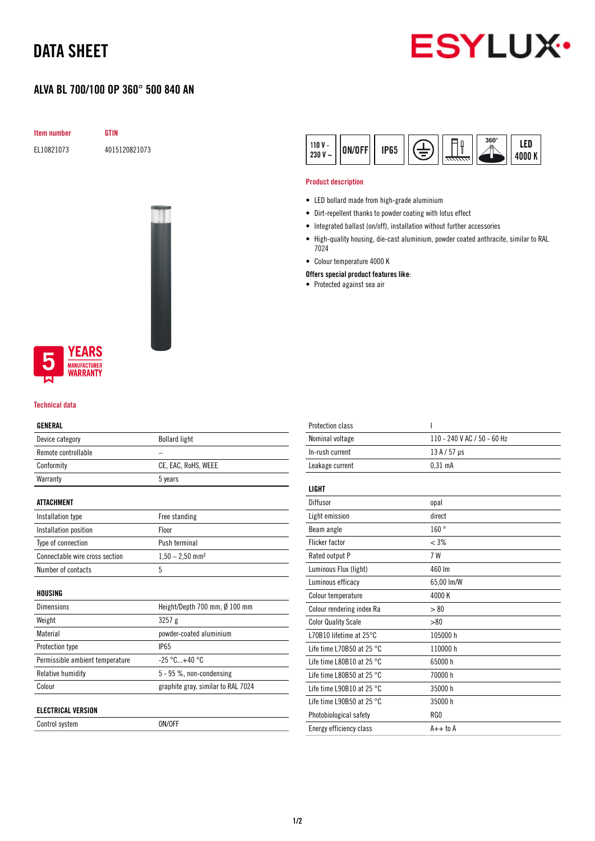# DATA SHEET

### ALVA BL 700/100 OP 360° 500 840 AN





### **YEARS IUFACTURER** WARRANTY

#### Technical data

#### GENERAL

| Device category                 | <b>Bollard light</b>               |
|---------------------------------|------------------------------------|
| Remote controllable             |                                    |
| Conformity                      | CE, EAC, RoHS, WEEE                |
| Warranty                        | 5 years                            |
| ATTACHMENT                      |                                    |
| Installation type               | Free standing                      |
| Installation position           | Floor                              |
| Type of connection              | Push terminal                      |
| Connectable wire cross section  | $1.50 - 2.50$ mm <sup>2</sup>      |
| Number of contacts              | 5                                  |
| HOUSING                         |                                    |
| <b>Dimensions</b>               | Height/Depth 700 mm, Ø 100 mm      |
| Weight                          | 3257g                              |
| Material                        | powder-coated aluminium            |
| <b>Protection type</b>          | <b>IP65</b>                        |
| Permissible ambient temperature | $-25 °C + 40 °C$                   |
| <b>Relative humidity</b>        | 5 - 95 %, non-condensing           |
| Colour                          | graphite gray, similar to RAL 7024 |
| ELECTRICAL VERSION              |                                    |

Control system ON/OFF



#### Product description

- LED bollard made from high-grade aluminium
- Dirt-repellent thanks to powder coating with lotus effect
- Integrated ballast (on/off), installation without further accessories
- High-quality housing, die-cast aluminium, powder coated anthracite, similar to RAL 7024
- Colour temperature 4000 K
- Offers special product features like:
- Protected against sea air

| ı                           |
|-----------------------------|
| 110 - 240 V AC / 50 - 60 Hz |
| $13A/57$ µs                 |
| $0.31$ mA                   |
|                             |
|                             |
| opal                        |
| direct                      |
| 160°                        |
| $< 3\%$                     |
| 7 W                         |
| 460 lm                      |
| 65,00 lm/W                  |
| 4000 K                      |
| > 80                        |
| > 80                        |
| 105000 h                    |
| 110000h                     |
| 65000h                      |
| 70000 h                     |
| 35000h                      |
| 35000h                      |
| RG0                         |
| $A++$ to $A$                |
|                             |